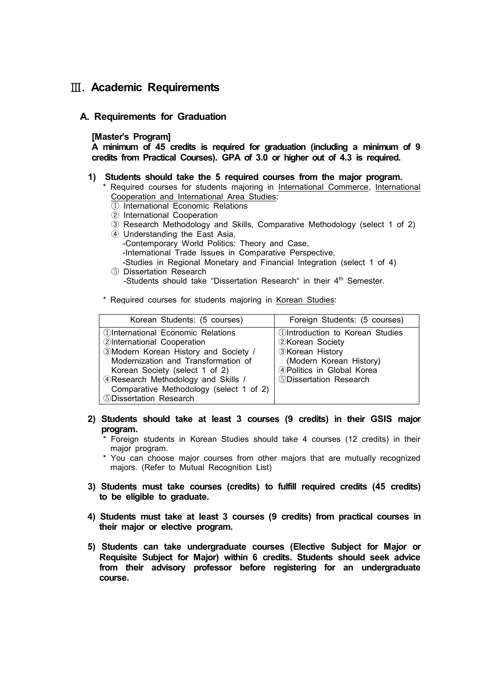## Ⅲ**. Academic Requirements**

## **A. Requirements for Graduation**

## **[Master's Program]**

**A minimum of 45 credits is required for graduation (including a minimum of 9 credits from Practical Courses). GPA of 3.0 or higher out of 4.3 is required.**

- **1) Students should take the 5 required courses from the major program.** 
	- \* Required courses for students majoring in International Commerce, International Cooperation and International Area Studies:
		- ① International Economic Relations
		- ② International Cooperation
		- ③ Research Methodology and Skills, Comparative Methodology (select 1 of 2)
		- ④ Understanding the East Asia,
			- -Contemporary World Politics: Theory and Case,
			- -International Trade Issues in Comparative Perspective,
		- -Studies in Regional Monetary and Financial Integration (select 1 of 4)
	- ⑤ Dissertation Research -Students should take "Dissertation Research" in their 4<sup>th</sup> Semester.
	- \* Required courses for students majoring in Korean Studies:

| Korean Students: (5 courses)            | Foreign Students: (5 courses)                 |
|-----------------------------------------|-----------------------------------------------|
| 1) International Economic Relations     | <b><i>OIntroduction to Korean Studies</i></b> |
| 2International Cooperation              | 2Korean Society                               |
| 3Modern Korean History and Society /    | <b>3Korean History</b>                        |
| Modernization and Transformation of     | (Modern Korean History)                       |
| Korean Society (select 1 of 2)          | 4 Politics in Global Korea                    |
| 4 Research Methodology and Skills /     | 5Dissertation Research                        |
| Comparative Methodology (select 1 of 2) |                                               |
| 5Dissertation Research                  |                                               |

- **2) Students should take at least 3 courses (9 credits) in their GSIS major program.** 
	- \* Foreign students in Korean Studies should take 4 courses (12 credits) in their major program.
	- \* You can choose major courses from other majors that are mutually recognized majors. (Refer to Mutual Recognition List)
- **3) Students must take courses (credits) to fulfill required credits (45 credits) to be eligible to graduate.**
- **4) Students must take at least 3 courses (9 credits) from practical courses in their major or elective program.**
- **5) Students can take undergraduate courses (Elective Subject for Major or Requisite Subject for Major) within 6 credits. Students should seek advice from their advisory professor before registering for an undergraduate course.**